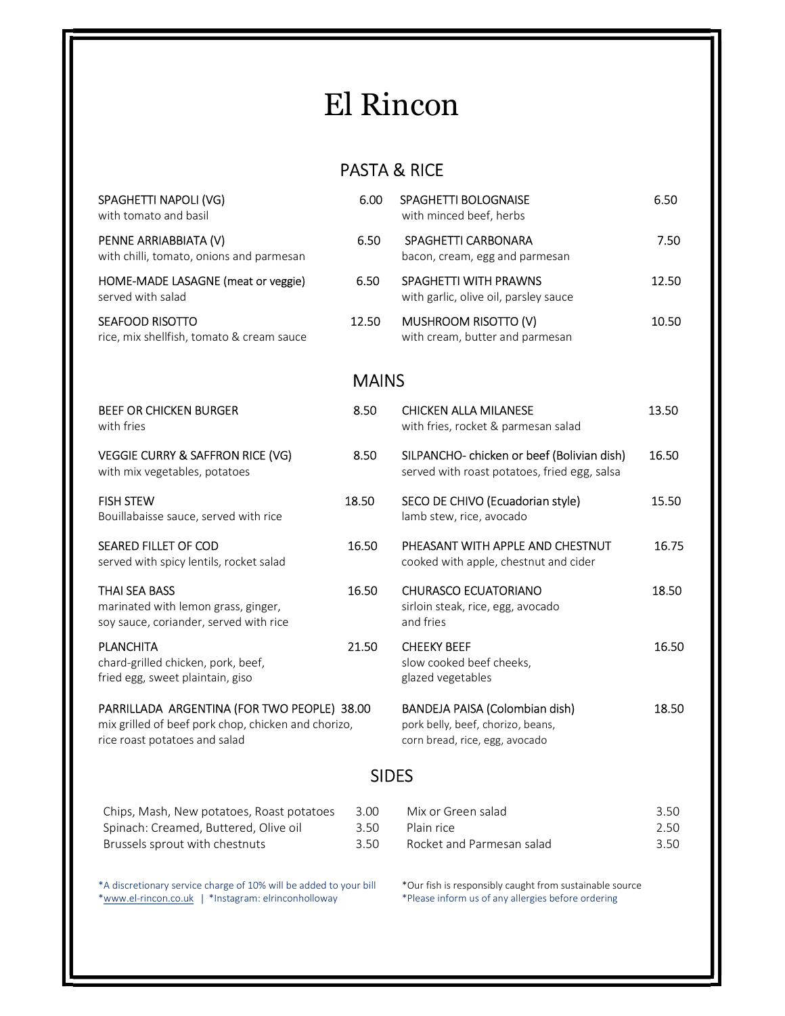## El Rincon

## PASTA & RICE

| SPAGHETTI NAPOLI (VG)<br>with tomato and basil                                                                                      | 6.00                 | SPAGHETTI BOLOGNAISE<br>with minced beef, herbs                                                       | 6.50                 |
|-------------------------------------------------------------------------------------------------------------------------------------|----------------------|-------------------------------------------------------------------------------------------------------|----------------------|
| PENNE ARRIABBIATA (V)<br>with chilli, tomato, onions and parmesan                                                                   | 6.50                 | SPAGHETTI CARBONARA<br>bacon, cream, egg and parmesan                                                 | 7.50                 |
| HOME-MADE LASAGNE (meat or veggie)<br>served with salad                                                                             | 6.50                 | SPAGHETTI WITH PRAWNS<br>with garlic, olive oil, parsley sauce                                        | 12.50                |
| SEAFOOD RISOTTO<br>rice, mix shellfish, tomato & cream sauce                                                                        | 12.50                | MUSHROOM RISOTTO (V)<br>with cream, butter and parmesan                                               | 10.50                |
| <b>MAINS</b>                                                                                                                        |                      |                                                                                                       |                      |
| <b>BEEF OR CHICKEN BURGER</b><br>with fries                                                                                         | 8.50                 | <b>CHICKEN ALLA MILANESE</b><br>with fries, rocket & parmesan salad                                   | 13.50                |
| <b>VEGGIE CURRY &amp; SAFFRON RICE (VG)</b><br>with mix vegetables, potatoes                                                        | 8.50                 | SILPANCHO- chicken or beef (Bolivian dish)<br>served with roast potatoes, fried egg, salsa            | 16.50                |
| <b>FISH STEW</b><br>Bouillabaisse sauce, served with rice                                                                           | 18.50                | SECO DE CHIVO (Ecuadorian style)<br>lamb stew, rice, avocado                                          | 15.50                |
| <b>SEARED FILLET OF COD</b><br>served with spicy lentils, rocket salad                                                              | 16.50                | PHEASANT WITH APPLE AND CHESTNUT<br>cooked with apple, chestnut and cider                             | 16.75                |
| <b>THAI SEA BASS</b><br>marinated with lemon grass, ginger,<br>soy sauce, coriander, served with rice                               | 16.50                | <b>CHURASCO ECUATORIANO</b><br>sirloin steak, rice, egg, avocado<br>and fries                         | 18.50                |
| <b>PLANCHITA</b><br>chard-grilled chicken, pork, beef,<br>fried egg, sweet plaintain, giso                                          | 21.50                | <b>CHEEKY BEEF</b><br>slow cooked beef cheeks,<br>glazed vegetables                                   | 16.50                |
| PARRILLADA ARGENTINA (FOR TWO PEOPLE) 38.00<br>mix grilled of beef pork chop, chicken and chorizo,<br>rice roast potatoes and salad |                      | BANDEJA PAISA (Colombian dish)<br>pork belly, beef, chorizo, beans,<br>corn bread, rice, egg, avocado | 18.50                |
| <b>SIDES</b>                                                                                                                        |                      |                                                                                                       |                      |
| Chips, Mash, New potatoes, Roast potatoes<br>Spinach: Creamed, Buttered, Olive oil<br>Brussels sprout with chestnuts                | 3.00<br>3.50<br>3.50 | Mix or Green salad<br>Plain rice<br>Rocket and Parmesan salad                                         | 3.50<br>2.50<br>3.50 |
|                                                                                                                                     |                      |                                                                                                       |                      |

\*A discretionary service charge of 10% will be added to your bill \*Our fish is responsibly caught from sustainable source \*www.el-rincon.co.uk | \*Instagram: elrinconholloway \*Please inform us of any allergies before ordering